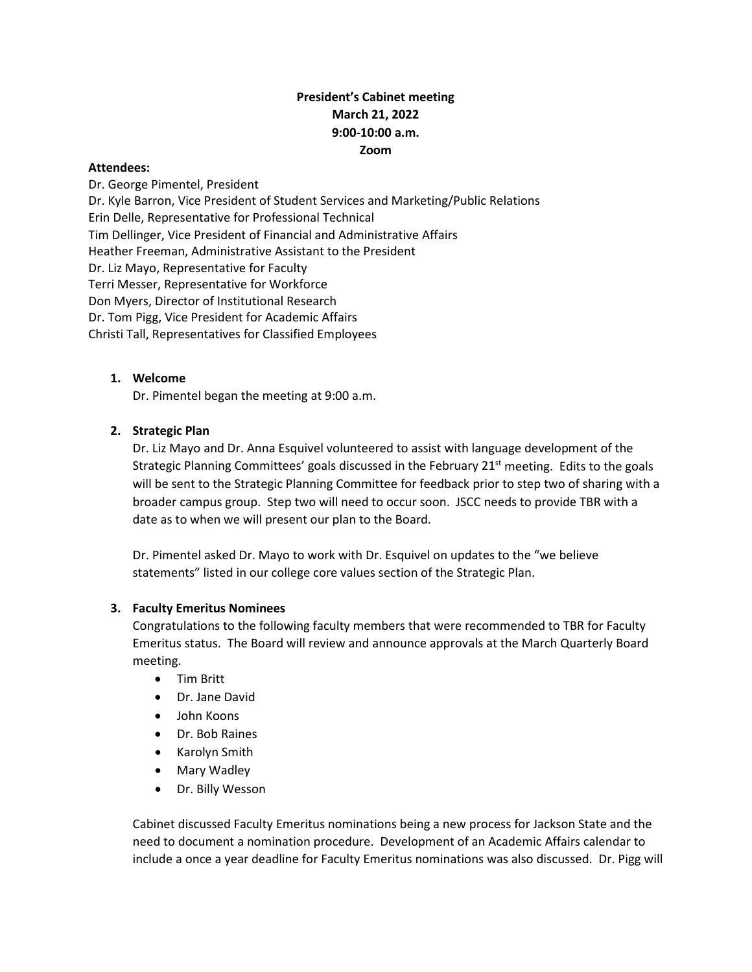# **President's Cabinet meeting March 21, 2022 9:00-10:00 a.m. Zoom**

### **Attendees:**

Dr. George Pimentel, President Dr. Kyle Barron, Vice President of Student Services and Marketing/Public Relations Erin Delle, Representative for Professional Technical Tim Dellinger, Vice President of Financial and Administrative Affairs Heather Freeman, Administrative Assistant to the President Dr. Liz Mayo, Representative for Faculty Terri Messer, Representative for Workforce Don Myers, Director of Institutional Research Dr. Tom Pigg, Vice President for Academic Affairs Christi Tall, Representatives for Classified Employees

## **1. Welcome**

Dr. Pimentel began the meeting at 9:00 a.m.

### **2. Strategic Plan**

Dr. Liz Mayo and Dr. Anna Esquivel volunteered to assist with language development of the Strategic Planning Committees' goals discussed in the February 21<sup>st</sup> meeting. Edits to the goals will be sent to the Strategic Planning Committee for feedback prior to step two of sharing with a broader campus group. Step two will need to occur soon. JSCC needs to provide TBR with a date as to when we will present our plan to the Board.

Dr. Pimentel asked Dr. Mayo to work with Dr. Esquivel on updates to the "we believe statements" listed in our college core values section of the Strategic Plan.

#### **3. Faculty Emeritus Nominees**

Congratulations to the following faculty members that were recommended to TBR for Faculty Emeritus status. The Board will review and announce approvals at the March Quarterly Board meeting.

- Tim Britt
- Dr. Jane David
- John Koons
- Dr. Bob Raines
- Karolyn Smith
- Mary Wadley
- Dr. Billy Wesson

Cabinet discussed Faculty Emeritus nominations being a new process for Jackson State and the need to document a nomination procedure. Development of an Academic Affairs calendar to include a once a year deadline for Faculty Emeritus nominations was also discussed. Dr. Pigg will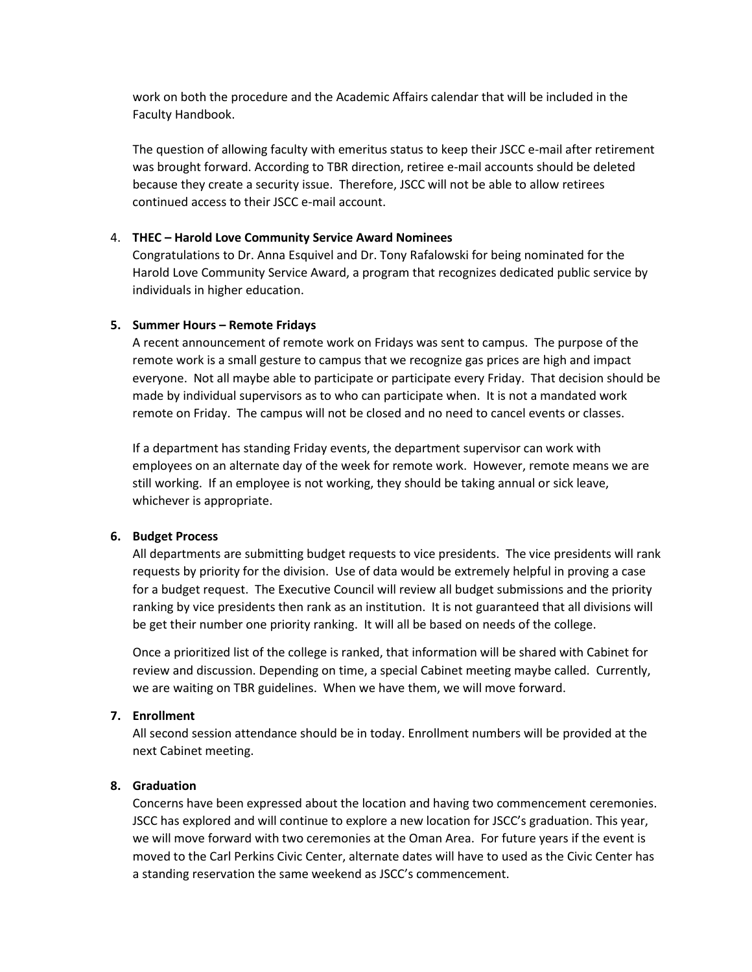work on both the procedure and the Academic Affairs calendar that will be included in the Faculty Handbook.

The question of allowing faculty with emeritus status to keep their JSCC e-mail after retirement was brought forward. According to TBR direction, retiree e-mail accounts should be deleted because they create a security issue. Therefore, JSCC will not be able to allow retirees continued access to their JSCC e-mail account.

#### 4. **THEC – Harold Love Community Service Award Nominees**

Congratulations to Dr. Anna Esquivel and Dr. Tony Rafalowski for being nominated for the Harold Love Community Service Award, a program that recognizes dedicated public service by individuals in higher education.

#### **5. Summer Hours – Remote Fridays**

A recent announcement of remote work on Fridays was sent to campus. The purpose of the remote work is a small gesture to campus that we recognize gas prices are high and impact everyone. Not all maybe able to participate or participate every Friday. That decision should be made by individual supervisors as to who can participate when. It is not a mandated work remote on Friday. The campus will not be closed and no need to cancel events or classes.

If a department has standing Friday events, the department supervisor can work with employees on an alternate day of the week for remote work. However, remote means we are still working. If an employee is not working, they should be taking annual or sick leave, whichever is appropriate.

#### **6. Budget Process**

All departments are submitting budget requests to vice presidents. The vice presidents will rank requests by priority for the division. Use of data would be extremely helpful in proving a case for a budget request. The Executive Council will review all budget submissions and the priority ranking by vice presidents then rank as an institution. It is not guaranteed that all divisions will be get their number one priority ranking. It will all be based on needs of the college.

Once a prioritized list of the college is ranked, that information will be shared with Cabinet for review and discussion. Depending on time, a special Cabinet meeting maybe called. Currently, we are waiting on TBR guidelines. When we have them, we will move forward.

#### **7. Enrollment**

All second session attendance should be in today. Enrollment numbers will be provided at the next Cabinet meeting.

### **8. Graduation**

Concerns have been expressed about the location and having two commencement ceremonies. JSCC has explored and will continue to explore a new location for JSCC's graduation. This year, we will move forward with two ceremonies at the Oman Area. For future years if the event is moved to the Carl Perkins Civic Center, alternate dates will have to used as the Civic Center has a standing reservation the same weekend as JSCC's commencement.